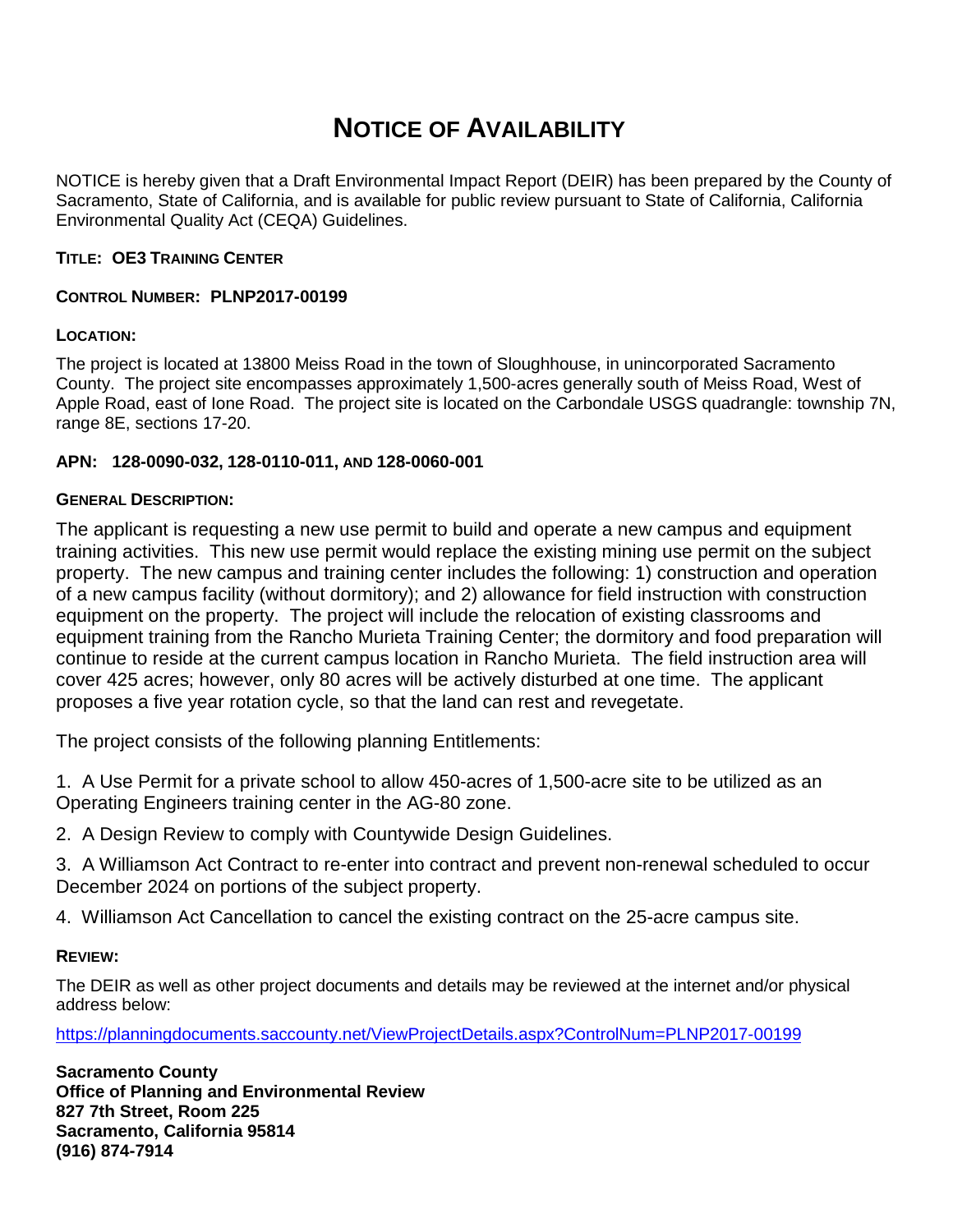# **NOTICE OF AVAILABILITY**

NOTICE is hereby given that a Draft Environmental Impact Report (DEIR) has been prepared by the County of Sacramento, State of California, and is available for public review pursuant to State of California, California Environmental Quality Act (CEQA) Guidelines.

## **TITLE: OE3 TRAINING CENTER**

## **CONTROL NUMBER: PLNP2017-00199**

## **LOCATION:**

The project is located at 13800 Meiss Road in the town of Sloughhouse, in unincorporated Sacramento County. The project site encompasses approximately 1,500-acres generally south of Meiss Road, West of Apple Road, east of Ione Road. The project site is located on the Carbondale USGS quadrangle: township 7N, range 8E, sections 17-20.

## **APN: 128-0090-032, 128-0110-011, AND 128-0060-001**

#### **GENERAL DESCRIPTION:**

The applicant is requesting a new use permit to build and operate a new campus and equipment training activities. This new use permit would replace the existing mining use permit on the subject property. The new campus and training center includes the following: 1) construction and operation of a new campus facility (without dormitory); and 2) allowance for field instruction with construction equipment on the property. The project will include the relocation of existing classrooms and equipment training from the Rancho Murieta Training Center; the dormitory and food preparation will continue to reside at the current campus location in Rancho Murieta. The field instruction area will cover 425 acres; however, only 80 acres will be actively disturbed at one time. The applicant proposes a five year rotation cycle, so that the land can rest and revegetate.

The project consists of the following planning Entitlements:

- 1. A Use Permit for a private school to allow 450-acres of 1,500-acre site to be utilized as an Operating Engineers training center in the AG-80 zone.
- 2. A Design Review to comply with Countywide Design Guidelines.
- 3. A Williamson Act Contract to re-enter into contract and prevent non-renewal scheduled to occur December 2024 on portions of the subject property.
- 4. Williamson Act Cancellation to cancel the existing contract on the 25-acre campus site.

#### **REVIEW:**

The DEIR as well as other project documents and details may be reviewed at the internet and/or physical address below:

<https://planningdocuments.saccounty.net/ViewProjectDetails.aspx?ControlNum=PLNP2017-00199>

**Sacramento County Office of Planning and Environmental Review 827 7th Street, Room 225 Sacramento, California 95814 (916) 874-7914**